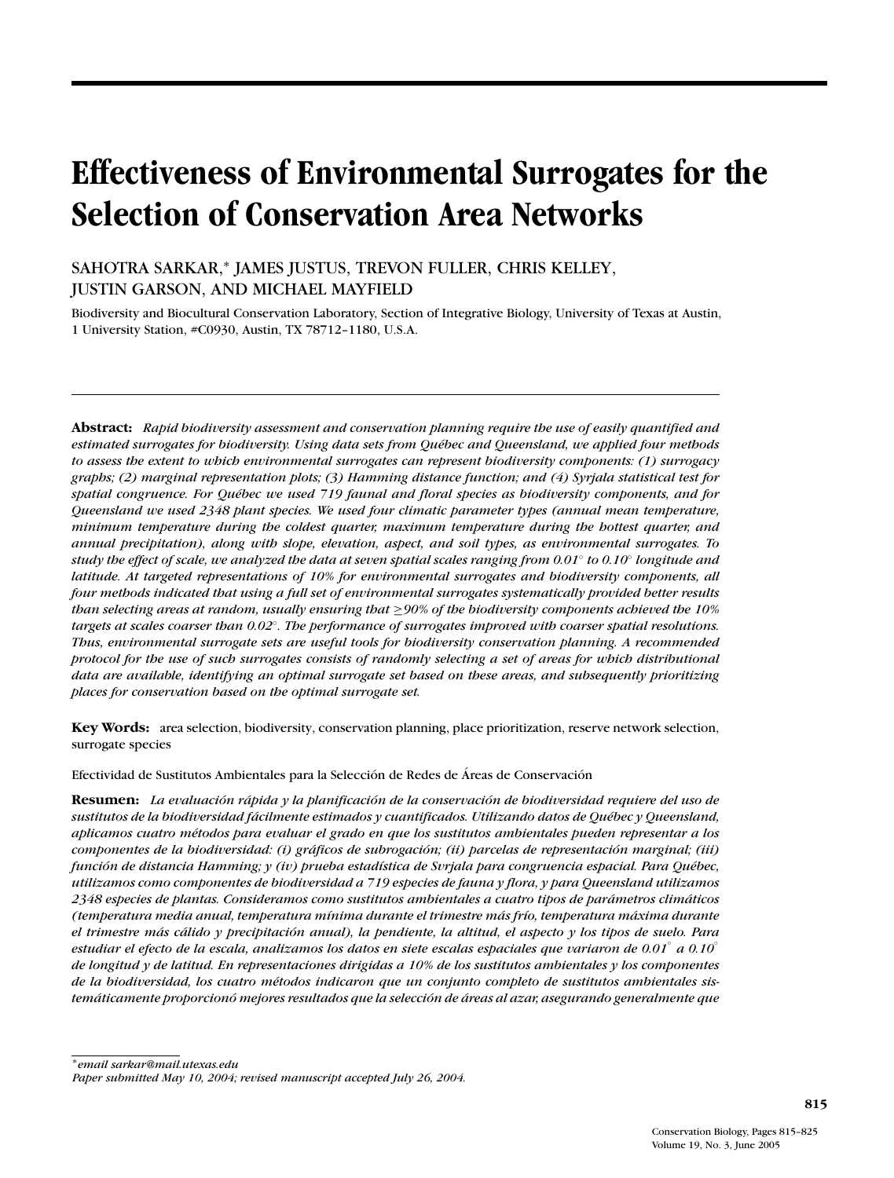# **Effectiveness of Environmental Surrogates for the Selection of Conservation Area Networks**

# SAHOTRA SARKAR,<sup>∗</sup> JAMES JUSTUS, TREVON FULLER, CHRIS KELLEY, JUSTIN GARSON, AND MICHAEL MAYFIELD

Biodiversity and Biocultural Conservation Laboratory, Section of Integrative Biology, University of Texas at Austin, 1 University Station, #C0930, Austin, TX 78712–1180, U.S.A.

**Abstract:** *Rapid biodiversity assessment and conservation planning require the use of easily quantified and* estimated surrogates for biodiversity. Using data sets from Québec and Queensland, we applied four methods *to assess the extent to which environmental surrogates can represent biodiversity components: (1) surrogacy graphs; (2) marginal representation plots; (3) Hamming distance function; and (4) Syrjala statistical test for spatial congruence. For Qu´ebec we used 719 faunal and floral species as biodiversity components, and for Queensland we used 2348 plant species. We used four climatic parameter types (annual mean temperature, minimum temperature during the coldest quarter, maximum temperature during the hottest quarter, and annual precipitation), along with slope, elevation, aspect, and soil types, as environmental surrogates. To study the effect of scale, we analyzed the data at seven spatial scales ranging from 0.01*◦ *to 0.10*◦ *longitude and latitude. At targeted representations of 10% for environmental surrogates and biodiversity components, all four methods indicated that using a full set of environmental surrogates systematically provided better results than selecting areas at random, usually ensuring that* ≥*90% of the biodiversity components achieved the 10% targets at scales coarser than 0.02*◦*. The performance of surrogates improved with coarser spatial resolutions. Thus, environmental surrogate sets are useful tools for biodiversity conservation planning. A recommended protocol for the use of such surrogates consists of randomly selecting a set of areas for which distributional data are available, identifying an optimal surrogate set based on these areas, and subsequently prioritizing places for conservation based on the optimal surrogate set.*

**Key Words:** area selection, biodiversity, conservation planning, place prioritization, reserve network selection, surrogate species

Efectividad de Sustitutos Ambientales para la Selección de Redes de Áreas de Conservación

**Resumen:** *La evaluacion r ´ apida y la planificaci ´ on de la conservaci ´ on de biodiversidad requiere del uso de ´ sustitutos de la biodiversidad facilmente estimados y cuantificados. Utilizando datos de Qu ´ ´ebec y Queensland, aplicamos cuatro m´etodos para evaluar el grado en que los sustitutos ambientales pueden representar a los componentes de la biodiversidad: (i) graficos de subrogaci ´ on; (ii) parcelas de representaci ´ on marginal; (iii) ´ funcion de distancia Hamming; y (iv) prueba estad ´ ´ıstica de Svrjala para congruencia espacial. Para Qu´ebec, utilizamos como componentes de biodiversidad a 719 especies de fauna y flora, y para Queensland utilizamos 2348 especies de plantas. Consideramos como sustitutos ambientales a cuatro tipos de parametros clim ´ aticos ´ (temperatura media anual, temperatura m´ınima durante el trimestre mas fr ´ ´ıo, temperatura maxima durante ´ el trimestre mas c ´ alido y precipitaci ´ on anual), la pendiente, la altitud, el aspecto y los tipos de suelo. Para ´ estudiar el efecto de la escala, analizamos los datos en siete escalas espaciales que variaron de 0.01*◦ *a 0.10*◦ *de longitud y de latitud. En representaciones dirigidas a 10% de los sustitutos ambientales y los componentes* de la biodiversidad, los cuatro métodos indicaron que un conjunto completo de sustitutos ambientales sis*tematicamente proporcion ´ o´ mejores resultados que la seleccion de ´ areas al azar, asegurando generalmente que ´*

∗*email sarkar@mail.utexas.edu*

*Paper submitted May 10, 2004; revised manuscript accepted July 26, 2004.*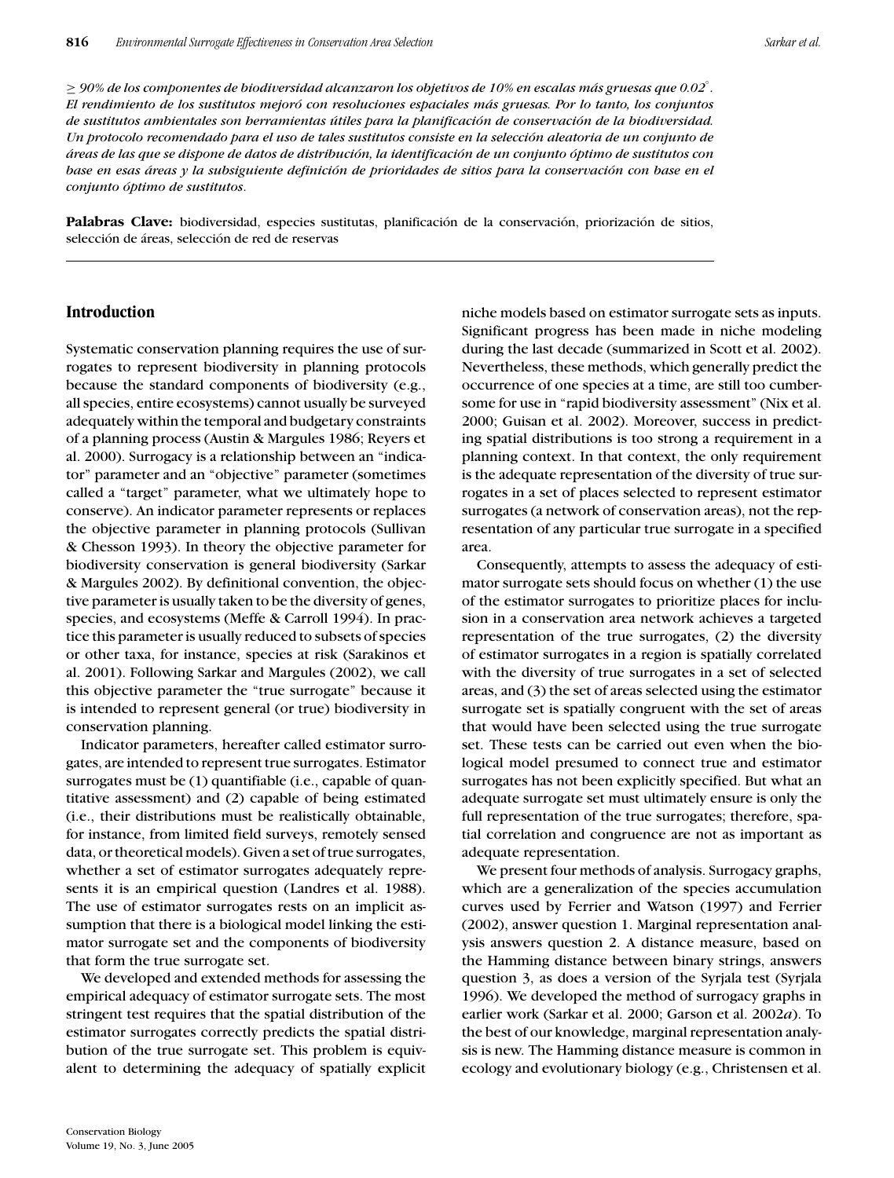$\ge$  90% de los componentes de biodiversidad alcanzaron los objetivos de 10% en escalas más gruesas que 0.02 $\degree$  . *El rendimiento de los sustitutos mejoro´ con resoluciones espaciales mas gruesas. Por lo tanto, los conjuntos ´ de sustitutos ambientales son herramientas utiles para la planificaci ´ on de conservaci ´ on de la biodiversidad. ´ Un protocolo recomendado para el uso de tales sustitutos consiste en la seleccion aleatoria de un conjunto de ´ areas de las que se dispone de datos de distribuci ´ on, la identificaci ´ on de un conjunto ´ optimo de sustitutos con ´ base en esas areas y la subsiguiente definici ´ on de prioridades de sitios para la conservaci ´ on con base en el ´ conjunto optimo de sustitutos ´* .

Palabras Clave: biodiversidad, especies sustitutas, planificación de la conservación, priorización de sitios, selección de áreas, selección de red de reservas

# **Introduction**

Systematic conservation planning requires the use of surrogates to represent biodiversity in planning protocols because the standard components of biodiversity (e.g., all species, entire ecosystems) cannot usually be surveyed adequately within the temporal and budgetary constraints of a planning process (Austin & Margules 1986; Reyers et al. 2000). Surrogacy is a relationship between an "indicator" parameter and an "objective" parameter (sometimes called a "target" parameter, what we ultimately hope to conserve). An indicator parameter represents or replaces the objective parameter in planning protocols (Sullivan & Chesson 1993). In theory the objective parameter for biodiversity conservation is general biodiversity (Sarkar & Margules 2002). By definitional convention, the objective parameter is usually taken to be the diversity of genes, species, and ecosystems (Meffe & Carroll 1994). In practice this parameter is usually reduced to subsets of species or other taxa, for instance, species at risk (Sarakinos et al. 2001). Following Sarkar and Margules (2002), we call this objective parameter the "true surrogate" because it is intended to represent general (or true) biodiversity in conservation planning.

Indicator parameters, hereafter called estimator surrogates, are intended to represent true surrogates. Estimator surrogates must be (1) quantifiable (i.e., capable of quantitative assessment) and (2) capable of being estimated (i.e., their distributions must be realistically obtainable, for instance, from limited field surveys, remotely sensed data, or theoretical models). Given a set of true surrogates, whether a set of estimator surrogates adequately represents it is an empirical question (Landres et al. 1988). The use of estimator surrogates rests on an implicit assumption that there is a biological model linking the estimator surrogate set and the components of biodiversity that form the true surrogate set.

We developed and extended methods for assessing the empirical adequacy of estimator surrogate sets. The most stringent test requires that the spatial distribution of the estimator surrogates correctly predicts the spatial distribution of the true surrogate set. This problem is equivalent to determining the adequacy of spatially explicit

niche models based on estimator surrogate sets as inputs. Significant progress has been made in niche modeling during the last decade (summarized in Scott et al. 2002). Nevertheless, these methods, which generally predict the occurrence of one species at a time, are still too cumbersome for use in "rapid biodiversity assessment" (Nix et al. 2000; Guisan et al. 2002). Moreover, success in predicting spatial distributions is too strong a requirement in a planning context. In that context, the only requirement is the adequate representation of the diversity of true surrogates in a set of places selected to represent estimator surrogates (a network of conservation areas), not the representation of any particular true surrogate in a specified area.

Consequently, attempts to assess the adequacy of estimator surrogate sets should focus on whether (1) the use of the estimator surrogates to prioritize places for inclusion in a conservation area network achieves a targeted representation of the true surrogates, (2) the diversity of estimator surrogates in a region is spatially correlated with the diversity of true surrogates in a set of selected areas, and (3) the set of areas selected using the estimator surrogate set is spatially congruent with the set of areas that would have been selected using the true surrogate set. These tests can be carried out even when the biological model presumed to connect true and estimator surrogates has not been explicitly specified. But what an adequate surrogate set must ultimately ensure is only the full representation of the true surrogates; therefore, spatial correlation and congruence are not as important as adequate representation.

We present four methods of analysis. Surrogacy graphs, which are a generalization of the species accumulation curves used by Ferrier and Watson (1997) and Ferrier (2002), answer question 1. Marginal representation analysis answers question 2. A distance measure, based on the Hamming distance between binary strings, answers question 3, as does a version of the Syrjala test (Syrjala 1996). We developed the method of surrogacy graphs in earlier work (Sarkar et al. 2000; Garson et al. 2002*a*). To the best of our knowledge, marginal representation analysis is new. The Hamming distance measure is common in ecology and evolutionary biology (e.g., Christensen et al.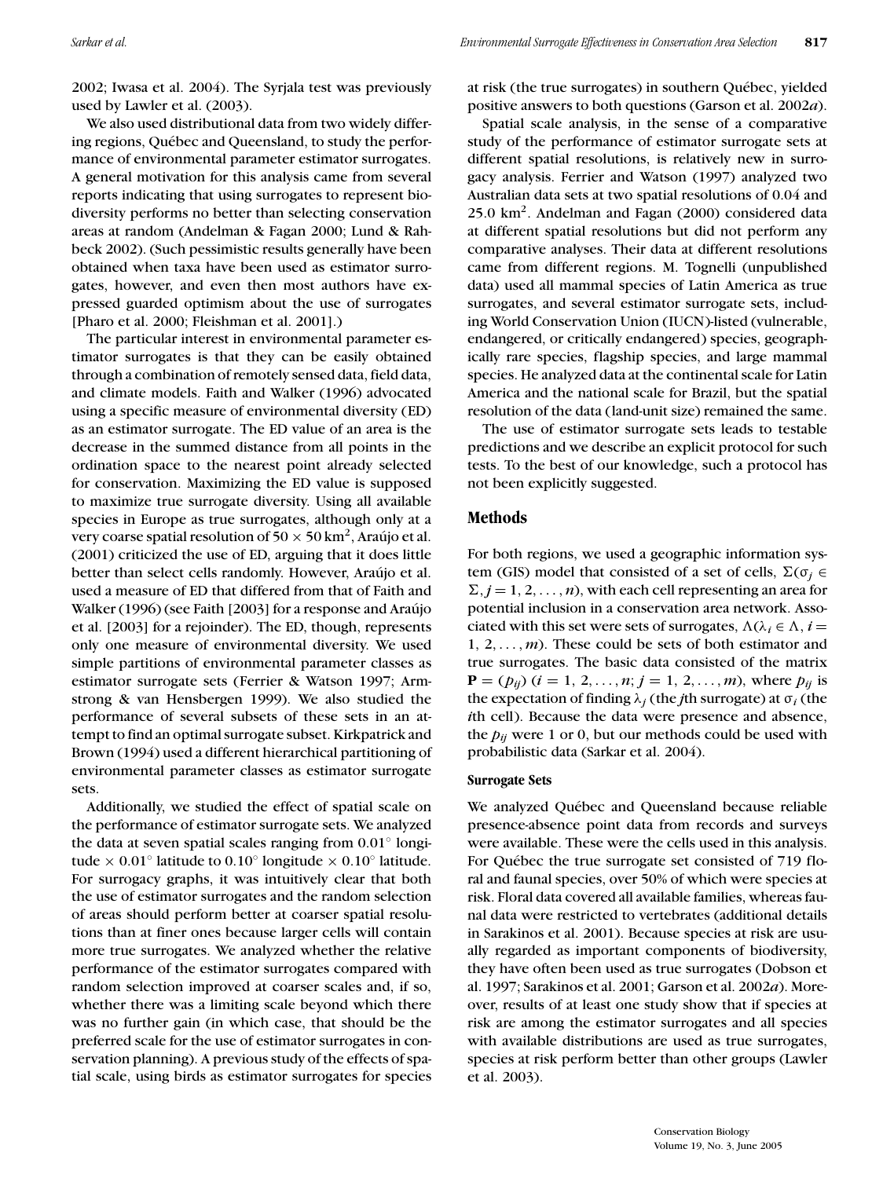*Sarkar et al. Environmental Surrogate Effectiveness in Conservation Area Selection* **817**

2002; Iwasa et al. 2004). The Syrjala test was previously used by Lawler et al. (2003).

We also used distributional data from two widely differing regions, Québec and Queensland, to study the performance of environmental parameter estimator surrogates. A general motivation for this analysis came from several reports indicating that using surrogates to represent biodiversity performs no better than selecting conservation areas at random (Andelman & Fagan 2000; Lund & Rahbeck 2002). (Such pessimistic results generally have been obtained when taxa have been used as estimator surrogates, however, and even then most authors have expressed guarded optimism about the use of surrogates [Pharo et al. 2000; Fleishman et al. 2001].)

The particular interest in environmental parameter estimator surrogates is that they can be easily obtained through a combination of remotely sensed data, field data, and climate models. Faith and Walker (1996) advocated using a specific measure of environmental diversity (ED) as an estimator surrogate. The ED value of an area is the decrease in the summed distance from all points in the ordination space to the nearest point already selected for conservation. Maximizing the ED value is supposed to maximize true surrogate diversity. Using all available species in Europe as true surrogates, although only at a very coarse spatial resolution of  $50 \times 50$  km<sup>2</sup>, Araújo et al. (2001) criticized the use of ED, arguing that it does little better than select cells randomly. However, Araújo et al. used a measure of ED that differed from that of Faith and Walker (1996) (see Faith [2003] for a response and Araújo et al. [2003] for a rejoinder). The ED, though, represents only one measure of environmental diversity. We used simple partitions of environmental parameter classes as estimator surrogate sets (Ferrier & Watson 1997; Armstrong & van Hensbergen 1999). We also studied the performance of several subsets of these sets in an attempt to find an optimal surrogate subset. Kirkpatrick and Brown (1994) used a different hierarchical partitioning of environmental parameter classes as estimator surrogate sets.

Additionally, we studied the effect of spatial scale on the performance of estimator surrogate sets. We analyzed the data at seven spatial scales ranging from 0.01◦ longitude  $\times$  0.01 $\textdegree$  latitude to 0.10 $\textdegree$  longitude  $\times$  0.10 $\textdegree$  latitude. For surrogacy graphs, it was intuitively clear that both the use of estimator surrogates and the random selection of areas should perform better at coarser spatial resolutions than at finer ones because larger cells will contain more true surrogates. We analyzed whether the relative performance of the estimator surrogates compared with random selection improved at coarser scales and, if so, whether there was a limiting scale beyond which there was no further gain (in which case, that should be the preferred scale for the use of estimator surrogates in conservation planning). A previous study of the effects of spatial scale, using birds as estimator surrogates for species

at risk (the true surrogates) in southern Québec, yielded positive answers to both questions (Garson et al. 2002*a*).

Spatial scale analysis, in the sense of a comparative study of the performance of estimator surrogate sets at different spatial resolutions, is relatively new in surrogacy analysis. Ferrier and Watson (1997) analyzed two Australian data sets at two spatial resolutions of 0.04 and  $25.0 \text{ km}^2$ . Andelman and Fagan (2000) considered data at different spatial resolutions but did not perform any comparative analyses. Their data at different resolutions came from different regions. M. Tognelli (unpublished data) used all mammal species of Latin America as true surrogates, and several estimator surrogate sets, including World Conservation Union (IUCN)-listed (vulnerable, endangered, or critically endangered) species, geographically rare species, flagship species, and large mammal species. He analyzed data at the continental scale for Latin America and the national scale for Brazil, but the spatial resolution of the data (land-unit size) remained the same.

The use of estimator surrogate sets leads to testable predictions and we describe an explicit protocol for such tests. To the best of our knowledge, such a protocol has not been explicitly suggested.

# **Methods**

For both regions, we used a geographic information system (GIS) model that consisted of a set of cells,  $\Sigma$ (σ<sub>*j*</sub> ∈  $\Sigma$ ,  $j = 1, 2, \ldots, n$ , with each cell representing an area for potential inclusion in a conservation area network. Associated with this set were sets of surrogates,  $\Lambda(\lambda_i \in \Lambda, i =$ 1,  $2, \ldots, m$ ). These could be sets of both estimator and true surrogates. The basic data consisted of the matrix  ${\bf P} = (p_{ii})$  ( $i = 1, 2, ..., n$ ;  $j = 1, 2, ..., m$ ), where  $p_{ii}$  is the expectation of finding  $\lambda_j$  (the *j*th surrogate) at  $\sigma_i$  (the *i*th cell). Because the data were presence and absence, the  $p_{ij}$  were 1 or 0, but our methods could be used with probabilistic data (Sarkar et al. 2004).

## **Surrogate Sets**

We analyzed Québec and Queensland because reliable presence-absence point data from records and surveys were available. These were the cells used in this analysis. For Québec the true surrogate set consisted of 719 floral and faunal species, over 50% of which were species at risk. Floral data covered all available families, whereas faunal data were restricted to vertebrates (additional details in Sarakinos et al. 2001). Because species at risk are usually regarded as important components of biodiversity, they have often been used as true surrogates (Dobson et al. 1997; Sarakinos et al. 2001; Garson et al. 2002*a*). Moreover, results of at least one study show that if species at risk are among the estimator surrogates and all species with available distributions are used as true surrogates, species at risk perform better than other groups (Lawler et al. 2003).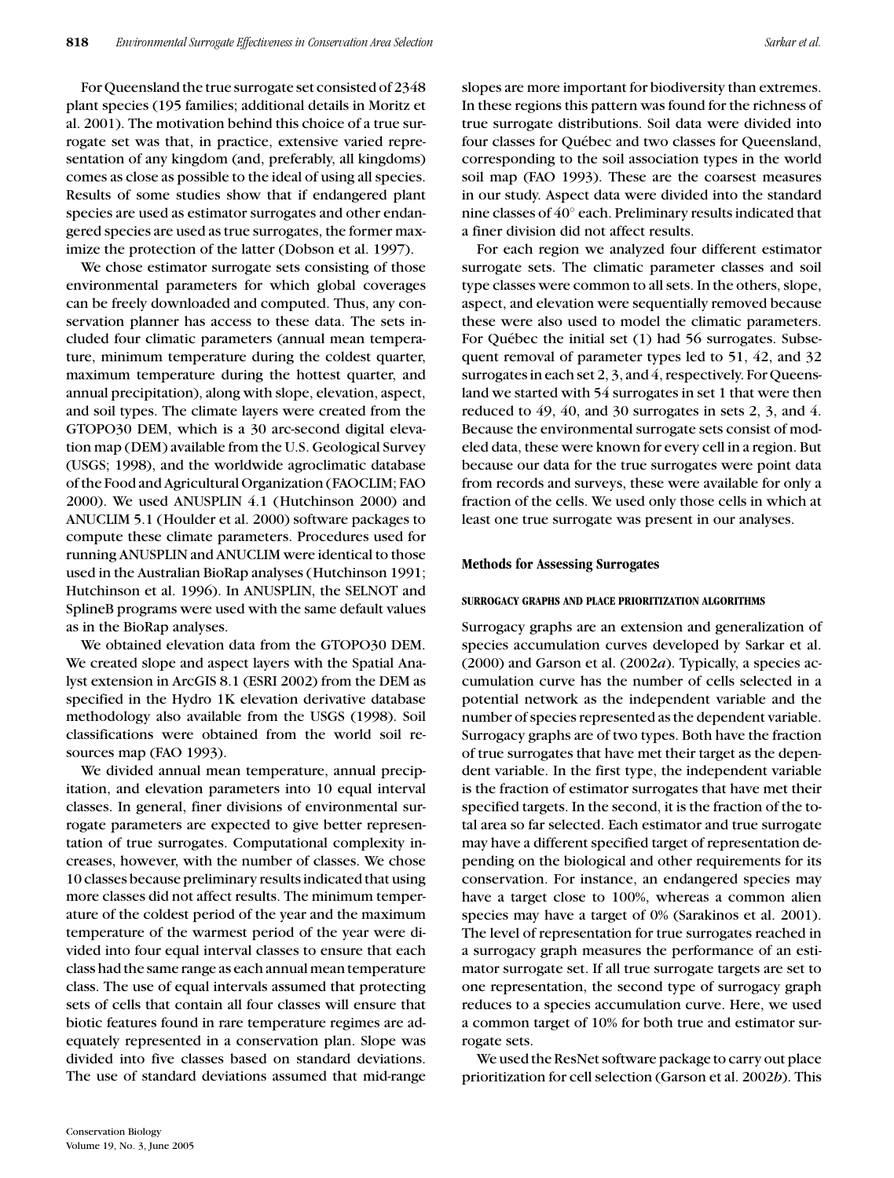For Queensland the true surrogate set consisted of 2348 plant species (195 families; additional details in Moritz et al. 2001). The motivation behind this choice of a true surrogate set was that, in practice, extensive varied representation of any kingdom (and, preferably, all kingdoms) comes as close as possible to the ideal of using all species. Results of some studies show that if endangered plant species are used as estimator surrogates and other endangered species are used as true surrogates, the former maximize the protection of the latter (Dobson et al. 1997).

We chose estimator surrogate sets consisting of those environmental parameters for which global coverages can be freely downloaded and computed. Thus, any conservation planner has access to these data. The sets included four climatic parameters (annual mean temperature, minimum temperature during the coldest quarter, maximum temperature during the hottest quarter, and annual precipitation), along with slope, elevation, aspect, and soil types. The climate layers were created from the GTOPO30 DEM, which is a 30 arc-second digital elevation map (DEM) available from the U.S. Geological Survey (USGS; 1998), and the worldwide agroclimatic database of the Food and Agricultural Organization (FAOCLIM; FAO 2000). We used ANUSPLIN 4.1 (Hutchinson 2000) and ANUCLIM 5.1 (Houlder et al. 2000) software packages to compute these climate parameters. Procedures used for running ANUSPLIN and ANUCLIM were identical to those used in the Australian BioRap analyses (Hutchinson 1991; Hutchinson et al. 1996). In ANUSPLIN, the SELNOT and SplineB programs were used with the same default values as in the BioRap analyses.

We obtained elevation data from the GTOPO30 DEM. We created slope and aspect layers with the Spatial Analyst extension in ArcGIS 8.1 (ESRI 2002) from the DEM as specified in the Hydro 1K elevation derivative database methodology also available from the USGS (1998). Soil classifications were obtained from the world soil resources map (FAO 1993).

We divided annual mean temperature, annual precipitation, and elevation parameters into 10 equal interval classes. In general, finer divisions of environmental surrogate parameters are expected to give better representation of true surrogates. Computational complexity increases, however, with the number of classes. We chose 10 classes because preliminary results indicated that using more classes did not affect results. The minimum temperature of the coldest period of the year and the maximum temperature of the warmest period of the year were divided into four equal interval classes to ensure that each class had the same range as each annual mean temperature class. The use of equal intervals assumed that protecting sets of cells that contain all four classes will ensure that biotic features found in rare temperature regimes are adequately represented in a conservation plan. Slope was divided into five classes based on standard deviations. The use of standard deviations assumed that mid-range

Conservation Biology Volume 19, No. 3, June 2005 slopes are more important for biodiversity than extremes. In these regions this pattern was found for the richness of true surrogate distributions. Soil data were divided into four classes for Québec and two classes for Queensland, corresponding to the soil association types in the world soil map (FAO 1993). These are the coarsest measures in our study. Aspect data were divided into the standard nine classes of 40◦ each. Preliminary results indicated that a finer division did not affect results.

For each region we analyzed four different estimator surrogate sets. The climatic parameter classes and soil type classes were common to all sets. In the others, slope, aspect, and elevation were sequentially removed because these were also used to model the climatic parameters. For Québec the initial set (1) had 56 surrogates. Subsequent removal of parameter types led to 51, 42, and 32 surrogates in each set 2, 3, and 4, respectively. For Queensland we started with 54 surrogates in set 1 that were then reduced to 49, 40, and 30 surrogates in sets 2, 3, and 4. Because the environmental surrogate sets consist of modeled data, these were known for every cell in a region. But because our data for the true surrogates were point data from records and surveys, these were available for only a fraction of the cells. We used only those cells in which at least one true surrogate was present in our analyses.

#### **Methods for Assessing Surrogates**

#### **SURROGACY GRAPHS AND PLACE PRIORITIZATION ALGORITHMS**

Surrogacy graphs are an extension and generalization of species accumulation curves developed by Sarkar et al. (2000) and Garson et al. (2002*a*). Typically, a species accumulation curve has the number of cells selected in a potential network as the independent variable and the number of species represented as the dependent variable. Surrogacy graphs are of two types. Both have the fraction of true surrogates that have met their target as the dependent variable. In the first type, the independent variable is the fraction of estimator surrogates that have met their specified targets. In the second, it is the fraction of the total area so far selected. Each estimator and true surrogate may have a different specified target of representation depending on the biological and other requirements for its conservation. For instance, an endangered species may have a target close to 100%, whereas a common alien species may have a target of 0% (Sarakinos et al. 2001). The level of representation for true surrogates reached in a surrogacy graph measures the performance of an estimator surrogate set. If all true surrogate targets are set to one representation, the second type of surrogacy graph reduces to a species accumulation curve. Here, we used a common target of 10% for both true and estimator surrogate sets.

We used the ResNet software package to carry out place prioritization for cell selection (Garson et al. 2002*b*). This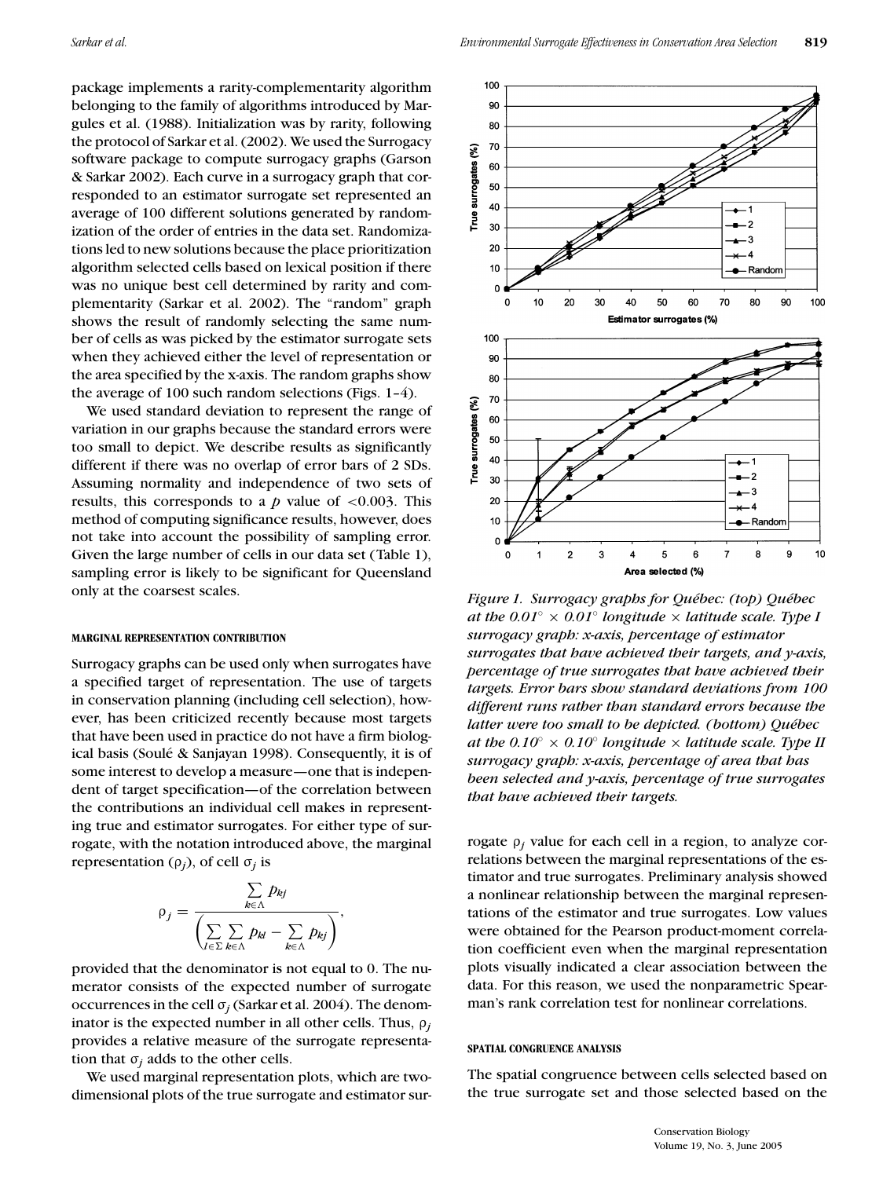package implements a rarity-complementarity algorithm belonging to the family of algorithms introduced by Margules et al. (1988). Initialization was by rarity, following the protocol of Sarkar et al. (2002). We used the Surrogacy software package to compute surrogacy graphs (Garson & Sarkar 2002). Each curve in a surrogacy graph that corresponded to an estimator surrogate set represented an average of 100 different solutions generated by randomization of the order of entries in the data set. Randomizations led to new solutions because the place prioritization algorithm selected cells based on lexical position if there was no unique best cell determined by rarity and complementarity (Sarkar et al. 2002). The "random" graph shows the result of randomly selecting the same number of cells as was picked by the estimator surrogate sets when they achieved either the level of representation or the area specified by the x-axis. The random graphs show the average of 100 such random selections (Figs. 1–4).

We used standard deviation to represent the range of variation in our graphs because the standard errors were too small to depict. We describe results as significantly different if there was no overlap of error bars of 2 SDs. Assuming normality and independence of two sets of results, this corresponds to a  $p$  value of  $\lt$  0.003. This method of computing significance results, however, does not take into account the possibility of sampling error. Given the large number of cells in our data set (Table 1), sampling error is likely to be significant for Queensland only at the coarsest scales.

#### **MARGINAL REPRESENTATION CONTRIBUTION**

Surrogacy graphs can be used only when surrogates have a specified target of representation. The use of targets in conservation planning (including cell selection), however, has been criticized recently because most targets that have been used in practice do not have a firm biological basis (Soulé & Sanjayan 1998). Consequently, it is of some interest to develop a measure—one that is independent of target specification—of the correlation between the contributions an individual cell makes in representing true and estimator surrogates. For either type of surrogate, with the notation introduced above, the marginal representation (ρ*j*), of cell σ*<sup>j</sup>* is



provided that the denominator is not equal to 0. The numerator consists of the expected number of surrogate occurrences in the cell  $\sigma_j$  (Sarkar et al. 2004). The denominator is the expected number in all other cells. Thus,  $\rho_i$ provides a relative measure of the surrogate representation that  $\sigma_i$  adds to the other cells.

We used marginal representation plots, which are twodimensional plots of the true surrogate and estimator sur-



*Figure 1. Surrogacy graphs for Qu´ebec: (top) Qu´ebec at the 0.01* $\degree \times 0.01$  $\degree$  *longitude*  $\times$  *latitude scale. Type I surrogacy graph: x-axis, percentage of estimator surrogates that have achieved their targets, and y-axis, percentage of true surrogates that have achieved their targets. Error bars show standard deviations from 100 different runs rather than standard errors because the* latter were too small to be depicted. (bottom) Québec *at the 0.10* $\degree \times 0.10\degree$  *longitude*  $\times$  *latitude scale. Type II surrogacy graph: x-axis, percentage of area that has been selected and y-axis, percentage of true surrogates that have achieved their targets.*

rogate ρ*<sup>j</sup>* value for each cell in a region, to analyze correlations between the marginal representations of the estimator and true surrogates. Preliminary analysis showed a nonlinear relationship between the marginal representations of the estimator and true surrogates. Low values were obtained for the Pearson product-moment correlation coefficient even when the marginal representation plots visually indicated a clear association between the data. For this reason, we used the nonparametric Spearman's rank correlation test for nonlinear correlations.

#### **SPATIAL CONGRUENCE ANALYSIS**

The spatial congruence between cells selected based on the true surrogate set and those selected based on the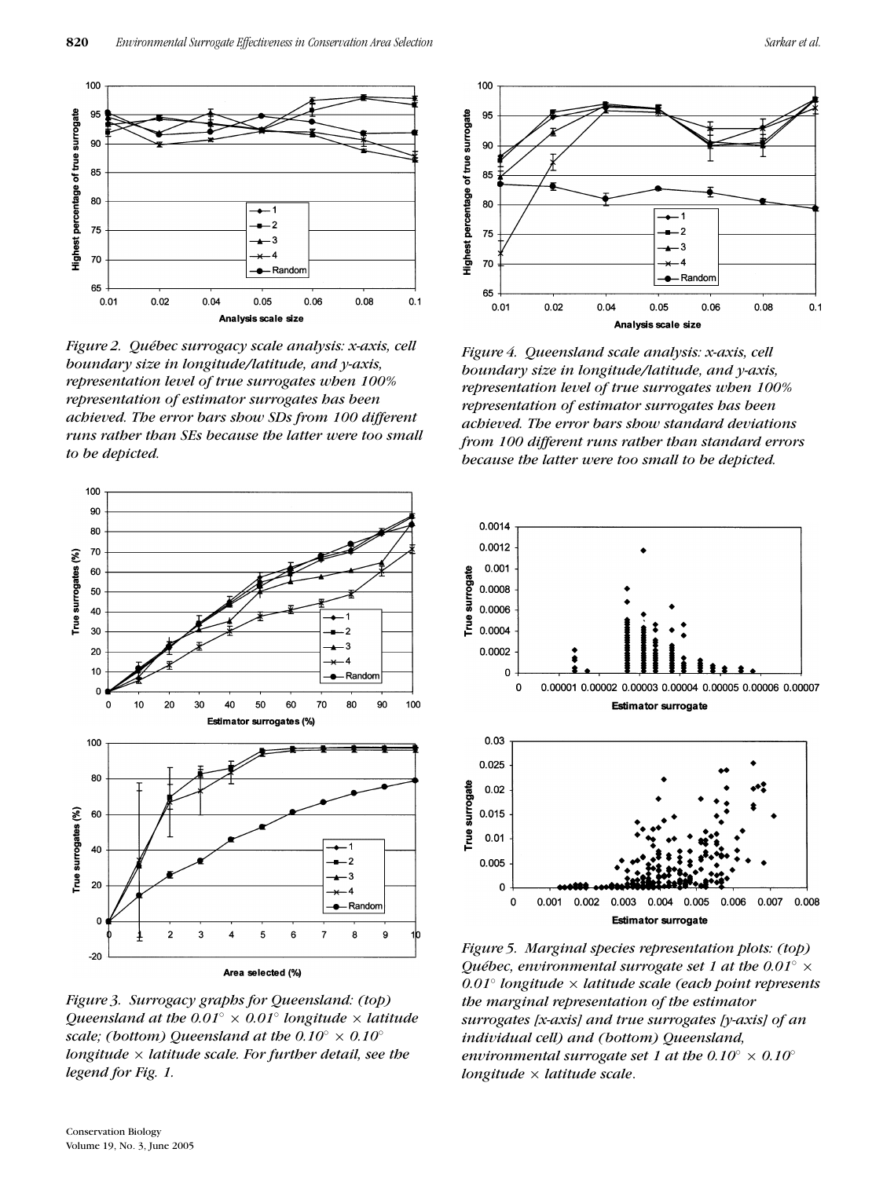

*Figure 2. Qu´ebec surrogacy scale analysis: x-axis, cell boundary size in longitude/latitude, and y-axis, representation level of true surrogates when 100% representation of estimator surrogates has been achieved. The error bars show SDs from 100 different runs rather than SEs because the latter were too small to be depicted.*



*Figure 3. Surrogacy graphs for Queensland: (top) Queensland at the*  $0.01^\circ \times 0.01^\circ$  *longitude*  $\times$  *latitude scale; (bottom) Queensland at the 0.10*◦ × *0.10*◦ *longitude* × *latitude scale. For further detail, see the legend for Fig. 1.*





*Figure 4. Queensland scale analysis: x-axis, cell boundary size in longitude/latitude, and y-axis, representation level of true surrogates when 100% representation of estimator surrogates has been achieved. The error bars show standard deviations from 100 different runs rather than standard errors because the latter were too small to be depicted.*



*Figure 5. Marginal species representation plots: (top) Qu´ebec, environmental surrogate set 1 at the 0.01*◦ × *0.01*◦ *longitude* × *latitude scale (each point represents the marginal representation of the estimator surrogates [x-axis] and true surrogates [y-axis] of an individual cell) and (bottom) Queensland, environmental surrogate set 1 at the 0.10*◦ × *0.10*◦ *longitude* × *latitude scale*.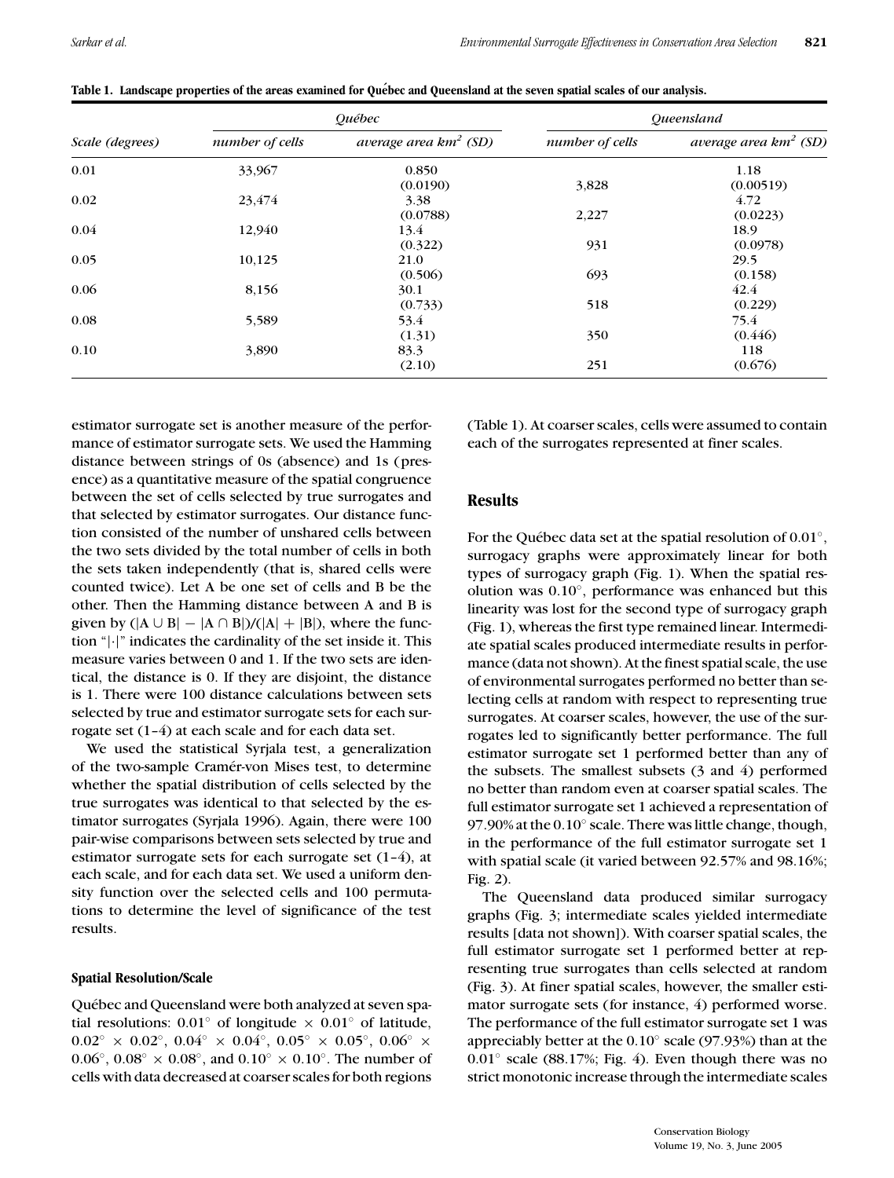|                 |                 | Québec                   | <b>Oueensland</b> |                          |  |
|-----------------|-----------------|--------------------------|-------------------|--------------------------|--|
| Scale (degrees) | number of cells | average area $km^2$ (SD) | number of cells   | average area $km^2$ (SD) |  |
| 0.01            | 33,967          | 0.850                    |                   | 1.18                     |  |
|                 |                 | (0.0190)                 | 3,828             | (0.00519)                |  |
| 0.02            | 23,474          | 3.38                     |                   | 4.72                     |  |
|                 |                 | (0.0788)                 | 2,227             | (0.0223)                 |  |
| 0.04            | 12,940          | 13.4                     |                   | 18.9                     |  |
|                 |                 | (0.322)                  | 931               | (0.0978)                 |  |
| 0.05            | 10,125          | 21.0                     |                   | 29.5                     |  |
|                 |                 | (0.506)                  | 693               | (0.158)                  |  |
| 0.06            | 8,156           | 30.1                     |                   | 42.4                     |  |
|                 |                 | (0.733)                  | 518               | (0.229)                  |  |
| 0.08            | 5,589           | 53.4                     |                   | 75.4                     |  |
|                 |                 | (1.31)                   | 350               | (0.446)                  |  |
| 0.10            | 3,890           | 83.3                     |                   | 118                      |  |
|                 |                 | (2.10)                   | 251               | (0.676)                  |  |

Table 1. Landscape properties of the areas examined for Quebec and Queensland at the seven spatial scales of our analysis.

estimator surrogate set is another measure of the performance of estimator surrogate sets. We used the Hamming distance between strings of 0s (absence) and 1s (presence) as a quantitative measure of the spatial congruence between the set of cells selected by true surrogates and that selected by estimator surrogates. Our distance function consisted of the number of unshared cells between the two sets divided by the total number of cells in both the sets taken independently (that is, shared cells were counted twice). Let A be one set of cells and B be the other. Then the Hamming distance between A and B is given by ( $|A \cup B| - |A \cap B|$ )/( $|A| + |B|$ ), where the function "|·|" indicates the cardinality of the set inside it. This measure varies between 0 and 1. If the two sets are identical, the distance is 0. If they are disjoint, the distance is 1. There were 100 distance calculations between sets selected by true and estimator surrogate sets for each surrogate set (1–4) at each scale and for each data set.

We used the statistical Syrjala test, a generalization of the two-sample Cram´er-von Mises test, to determine whether the spatial distribution of cells selected by the true surrogates was identical to that selected by the estimator surrogates (Syrjala 1996). Again, there were 100 pair-wise comparisons between sets selected by true and estimator surrogate sets for each surrogate set (1–4), at each scale, and for each data set. We used a uniform density function over the selected cells and 100 permutations to determine the level of significance of the test results.

## **Spatial Resolution/Scale**

Québec and Queensland were both analyzed at seven spatial resolutions:  $0.01°$  of longitude  $\times 0.01°$  of latitude,  $0.02° \times 0.02°$ ,  $0.04° \times 0.04°$ ,  $0.05° \times 0.05°$ ,  $0.06° \times$ 0.06 $\degree$ , 0.08 $\degree \times$  0.08 $\degree$ , and 0.10 $\degree \times$  0.10 $\degree$ . The number of cells with data decreased at coarser scales for both regions (Table 1). At coarser scales, cells were assumed to contain each of the surrogates represented at finer scales.

# **Results**

For the Québec data set at the spatial resolution of  $0.01^\circ$ , surrogacy graphs were approximately linear for both types of surrogacy graph (Fig. 1). When the spatial resolution was 0.10◦, performance was enhanced but this linearity was lost for the second type of surrogacy graph (Fig. 1), whereas the first type remained linear. Intermediate spatial scales produced intermediate results in performance (data not shown). At the finest spatial scale, the use of environmental surrogates performed no better than selecting cells at random with respect to representing true surrogates. At coarser scales, however, the use of the surrogates led to significantly better performance. The full estimator surrogate set 1 performed better than any of the subsets. The smallest subsets (3 and 4) performed no better than random even at coarser spatial scales. The full estimator surrogate set 1 achieved a representation of 97.90% at the  $0.10<sup>°</sup>$  scale. There was little change, though, in the performance of the full estimator surrogate set 1 with spatial scale (it varied between 92.57% and 98.16%; Fig. 2).

The Queensland data produced similar surrogacy graphs (Fig. 3; intermediate scales yielded intermediate results [data not shown]). With coarser spatial scales, the full estimator surrogate set 1 performed better at representing true surrogates than cells selected at random (Fig. 3). At finer spatial scales, however, the smaller estimator surrogate sets (for instance, 4) performed worse. The performance of the full estimator surrogate set 1 was appreciably better at the 0.10◦ scale (97.93%) than at the  $0.01°$  scale (88.17%; Fig. 4). Even though there was no strict monotonic increase through the intermediate scales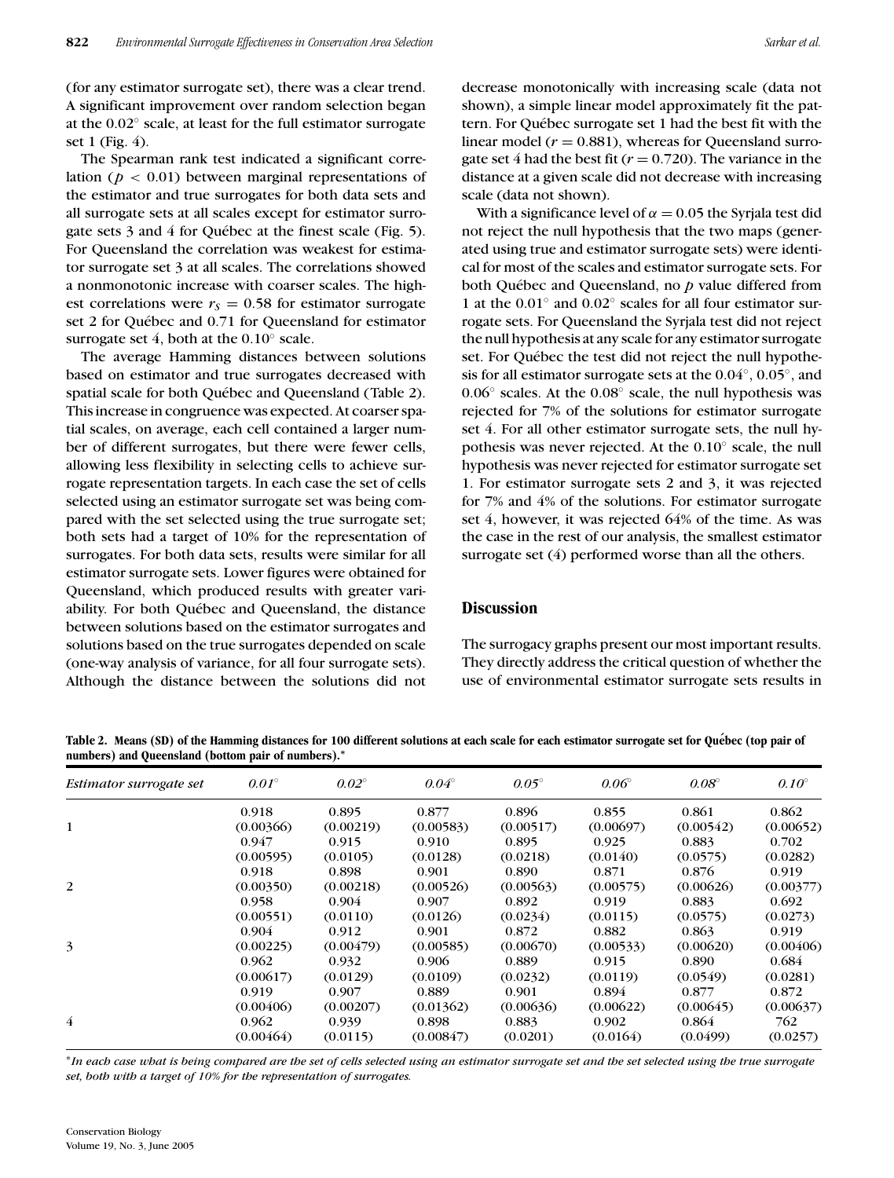(for any estimator surrogate set), there was a clear trend. A significant improvement over random selection began at the 0.02◦ scale, at least for the full estimator surrogate set 1 (Fig. 4).

The Spearman rank test indicated a significant correlation ( $p < 0.01$ ) between marginal representations of the estimator and true surrogates for both data sets and all surrogate sets at all scales except for estimator surrogate sets 3 and 4 for Québec at the finest scale (Fig. 5). For Queensland the correlation was weakest for estimator surrogate set 3 at all scales. The correlations showed a nonmonotonic increase with coarser scales. The highest correlations were  $r<sub>S</sub> = 0.58$  for estimator surrogate set 2 for Québec and 0.71 for Queensland for estimator surrogate set 4, both at the  $0.10^\circ$  scale.

The average Hamming distances between solutions based on estimator and true surrogates decreased with spatial scale for both Québec and Queensland (Table 2). This increase in congruence was expected. At coarser spatial scales, on average, each cell contained a larger number of different surrogates, but there were fewer cells, allowing less flexibility in selecting cells to achieve surrogate representation targets. In each case the set of cells selected using an estimator surrogate set was being compared with the set selected using the true surrogate set; both sets had a target of 10% for the representation of surrogates. For both data sets, results were similar for all estimator surrogate sets. Lower figures were obtained for Queensland, which produced results with greater variability. For both Québec and Queensland, the distance between solutions based on the estimator surrogates and solutions based on the true surrogates depended on scale (one-way analysis of variance, for all four surrogate sets). Although the distance between the solutions did not

decrease monotonically with increasing scale (data not shown), a simple linear model approximately fit the pattern. For Qu´ebec surrogate set 1 had the best fit with the linear model  $(r = 0.881)$ , whereas for Queensland surrogate set 4 had the best fit ( $r = 0.720$ ). The variance in the distance at a given scale did not decrease with increasing scale (data not shown).

With a significance level of  $\alpha = 0.05$  the Syrjala test did not reject the null hypothesis that the two maps (generated using true and estimator surrogate sets) were identical for most of the scales and estimator surrogate sets. For both Québec and Queensland, no *p* value differed from 1 at the 0.01◦ and 0.02◦ scales for all four estimator surrogate sets. For Queensland the Syrjala test did not reject the null hypothesis at any scale for any estimator surrogate set. For Québec the test did not reject the null hypothesis for all estimator surrogate sets at the 0.04◦, 0.05◦, and 0.06◦ scales. At the 0.08◦ scale, the null hypothesis was rejected for 7% of the solutions for estimator surrogate set 4. For all other estimator surrogate sets, the null hypothesis was never rejected. At the 0.10◦ scale, the null hypothesis was never rejected for estimator surrogate set 1. For estimator surrogate sets 2 and 3, it was rejected for 7% and 4% of the solutions. For estimator surrogate set 4, however, it was rejected 64% of the time. As was the case in the rest of our analysis, the smallest estimator surrogate set  $(4)$  performed worse than all the others.

### **Discussion**

The surrogacy graphs present our most important results. They directly address the critical question of whether the use of environmental estimator surrogate sets results in

**Table 2. Means (SD) of the Hamming distances for 100 different solutions at each scale for each estimator surrogate set for Quebec (top pair of ´ numbers) and Queensland (bottom pair of numbers).***<sup>∗</sup>*

| Estimator surrogate set | $0.01^\circ$ | $0.02^\circ$ | $0.04^\circ$ | $0.05^\circ$ | $0.06^\circ$ | $0.08^\circ$ | $0.10^\circ$ |
|-------------------------|--------------|--------------|--------------|--------------|--------------|--------------|--------------|
|                         | 0.918        | 0.895        | 0.877        | 0.896        | 0.855        | 0.861        | 0.862        |
| $\mathbf{1}$            | (0.00366)    | (0.00219)    | (0.00583)    | (0.00517)    | (0.00697)    | (0.00542)    | (0.00652)    |
|                         | 0.947        | 0.915        | 0.910        | 0.895        | 0.925        | 0.883        | 0.702        |
|                         | (0.00595)    | (0.0105)     | (0.0128)     | (0.0218)     | (0.0140)     | (0.0575)     | (0.0282)     |
|                         | 0.918        | 0.898        | 0.901        | 0.890        | 0.871        | 0.876        | 0.919        |
| 2                       | (0.00350)    | (0.00218)    | (0.00526)    | (0.00563)    | (0.00575)    | (0.00626)    | (0.00377)    |
|                         | 0.958        | 0.904        | 0.907        | 0.892        | 0.919        | 0.883        | 0.692        |
|                         | (0.00551)    | (0.0110)     | (0.0126)     | (0.0234)     | (0.0115)     | (0.0575)     | (0.0273)     |
|                         | 0.904        | 0.912        | 0.901        | 0.872        | 0.882        | 0.863        | 0.919        |
| $\overline{3}$          | (0.00225)    | (0.00479)    | (0.00585)    | (0.00670)    | (0.00533)    | (0.00620)    | (0.00406)    |
|                         | 0.962        | 0.932        | 0.906        | 0.889        | 0.915        | 0.890        | 0.684        |
|                         | (0.00617)    | (0.0129)     | (0.0109)     | (0.0232)     | (0.0119)     | (0.0549)     | (0.0281)     |
|                         | 0.919        | 0.907        | 0.889        | 0.901        | 0.894        | 0.877        | 0.872        |
|                         | (0.00406)    | (0.00207)    | (0.01362)    | (0.00636)    | (0.00622)    | (0.00645)    | (0.00637)    |
| 4                       | 0.962        | 0.939        | 0.898        | 0.883        | 0.902        | 0.864        | 762          |
|                         | (0.00464)    | (0.0115)     | (0.00847)    | (0.0201)     | (0.0164)     | (0.0499)     | (0.0257)     |

∗*In each case what is being compared are the set of cells selected using an estimator surrogate set and the set selected using the true surrogate set, both with a target of 10% for the representation of surrogates.*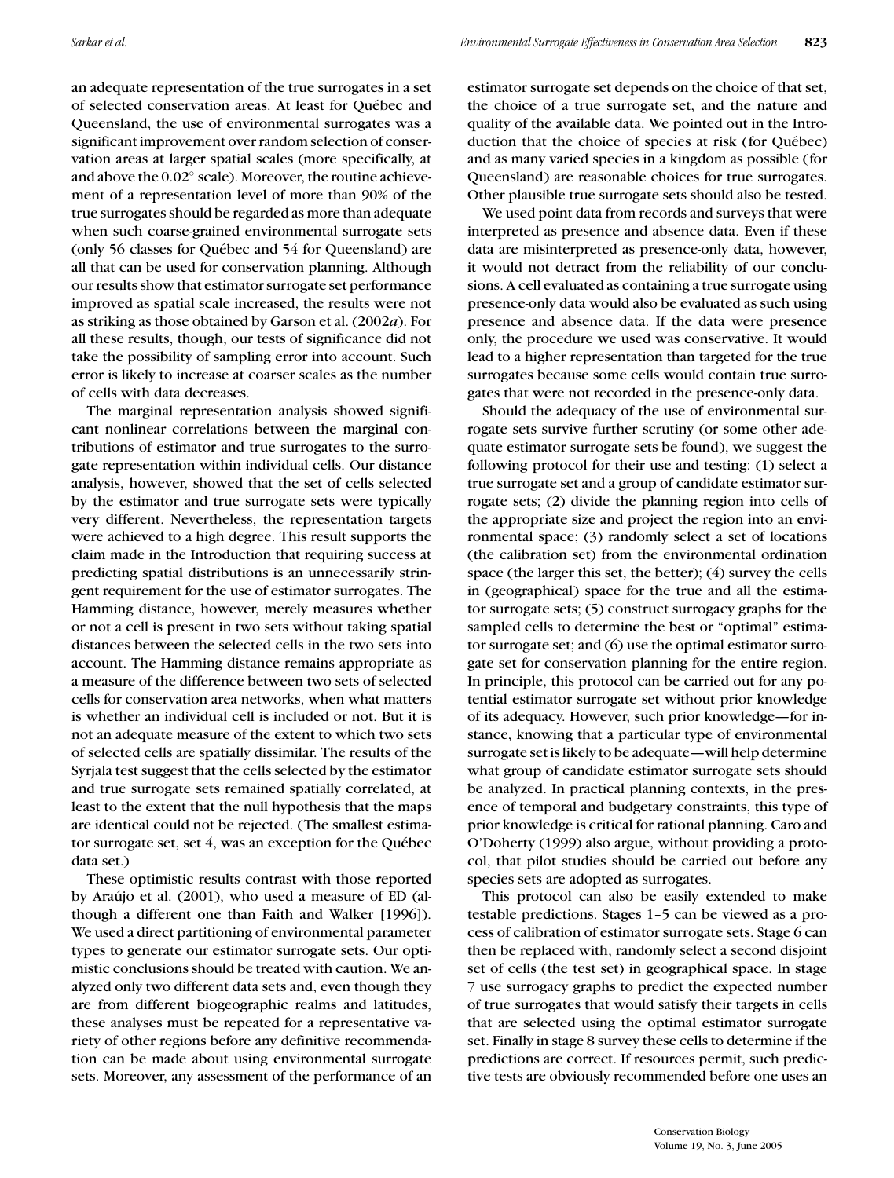an adequate representation of the true surrogates in a set of selected conservation areas. At least for Québec and Queensland, the use of environmental surrogates was a significant improvement over random selection of conservation areas at larger spatial scales (more specifically, at and above the  $0.02°$  scale). Moreover, the routine achievement of a representation level of more than 90% of the true surrogates should be regarded as more than adequate when such coarse-grained environmental surrogate sets (only 56 classes for Québec and 54 for Queensland) are all that can be used for conservation planning. Although our results show that estimator surrogate set performance improved as spatial scale increased, the results were not as striking as those obtained by Garson et al. (2002*a*). For all these results, though, our tests of significance did not take the possibility of sampling error into account. Such error is likely to increase at coarser scales as the number of cells with data decreases.

The marginal representation analysis showed significant nonlinear correlations between the marginal contributions of estimator and true surrogates to the surrogate representation within individual cells. Our distance analysis, however, showed that the set of cells selected by the estimator and true surrogate sets were typically very different. Nevertheless, the representation targets were achieved to a high degree. This result supports the claim made in the Introduction that requiring success at predicting spatial distributions is an unnecessarily stringent requirement for the use of estimator surrogates. The Hamming distance, however, merely measures whether or not a cell is present in two sets without taking spatial distances between the selected cells in the two sets into account. The Hamming distance remains appropriate as a measure of the difference between two sets of selected cells for conservation area networks, when what matters is whether an individual cell is included or not. But it is not an adequate measure of the extent to which two sets of selected cells are spatially dissimilar. The results of the Syrjala test suggest that the cells selected by the estimator and true surrogate sets remained spatially correlated, at least to the extent that the null hypothesis that the maps are identical could not be rejected. (The smallest estimator surrogate set, set 4, was an exception for the Québec data set.)

These optimistic results contrast with those reported by Araújo et al. (2001), who used a measure of ED (although a different one than Faith and Walker [1996]). We used a direct partitioning of environmental parameter types to generate our estimator surrogate sets. Our optimistic conclusions should be treated with caution. We analyzed only two different data sets and, even though they are from different biogeographic realms and latitudes, these analyses must be repeated for a representative variety of other regions before any definitive recommendation can be made about using environmental surrogate sets. Moreover, any assessment of the performance of an

estimator surrogate set depends on the choice of that set, the choice of a true surrogate set, and the nature and quality of the available data. We pointed out in the Introduction that the choice of species at risk (for Québec) and as many varied species in a kingdom as possible (for Queensland) are reasonable choices for true surrogates. Other plausible true surrogate sets should also be tested.

We used point data from records and surveys that were interpreted as presence and absence data. Even if these data are misinterpreted as presence-only data, however, it would not detract from the reliability of our conclusions. A cell evaluated as containing a true surrogate using presence-only data would also be evaluated as such using presence and absence data. If the data were presence only, the procedure we used was conservative. It would lead to a higher representation than targeted for the true surrogates because some cells would contain true surrogates that were not recorded in the presence-only data.

Should the adequacy of the use of environmental surrogate sets survive further scrutiny (or some other adequate estimator surrogate sets be found), we suggest the following protocol for their use and testing: (1) select a true surrogate set and a group of candidate estimator surrogate sets; (2) divide the planning region into cells of the appropriate size and project the region into an environmental space; (3) randomly select a set of locations (the calibration set) from the environmental ordination space (the larger this set, the better); (4) survey the cells in (geographical) space for the true and all the estimator surrogate sets; (5) construct surrogacy graphs for the sampled cells to determine the best or "optimal" estimator surrogate set; and (6) use the optimal estimator surrogate set for conservation planning for the entire region. In principle, this protocol can be carried out for any potential estimator surrogate set without prior knowledge of its adequacy. However, such prior knowledge—for instance, knowing that a particular type of environmental surrogate set is likely to be adequate—will help determine what group of candidate estimator surrogate sets should be analyzed. In practical planning contexts, in the presence of temporal and budgetary constraints, this type of prior knowledge is critical for rational planning. Caro and O'Doherty (1999) also argue, without providing a protocol, that pilot studies should be carried out before any species sets are adopted as surrogates.

This protocol can also be easily extended to make testable predictions. Stages 1–5 can be viewed as a process of calibration of estimator surrogate sets. Stage 6 can then be replaced with, randomly select a second disjoint set of cells (the test set) in geographical space. In stage 7 use surrogacy graphs to predict the expected number of true surrogates that would satisfy their targets in cells that are selected using the optimal estimator surrogate set. Finally in stage 8 survey these cells to determine if the predictions are correct. If resources permit, such predictive tests are obviously recommended before one uses an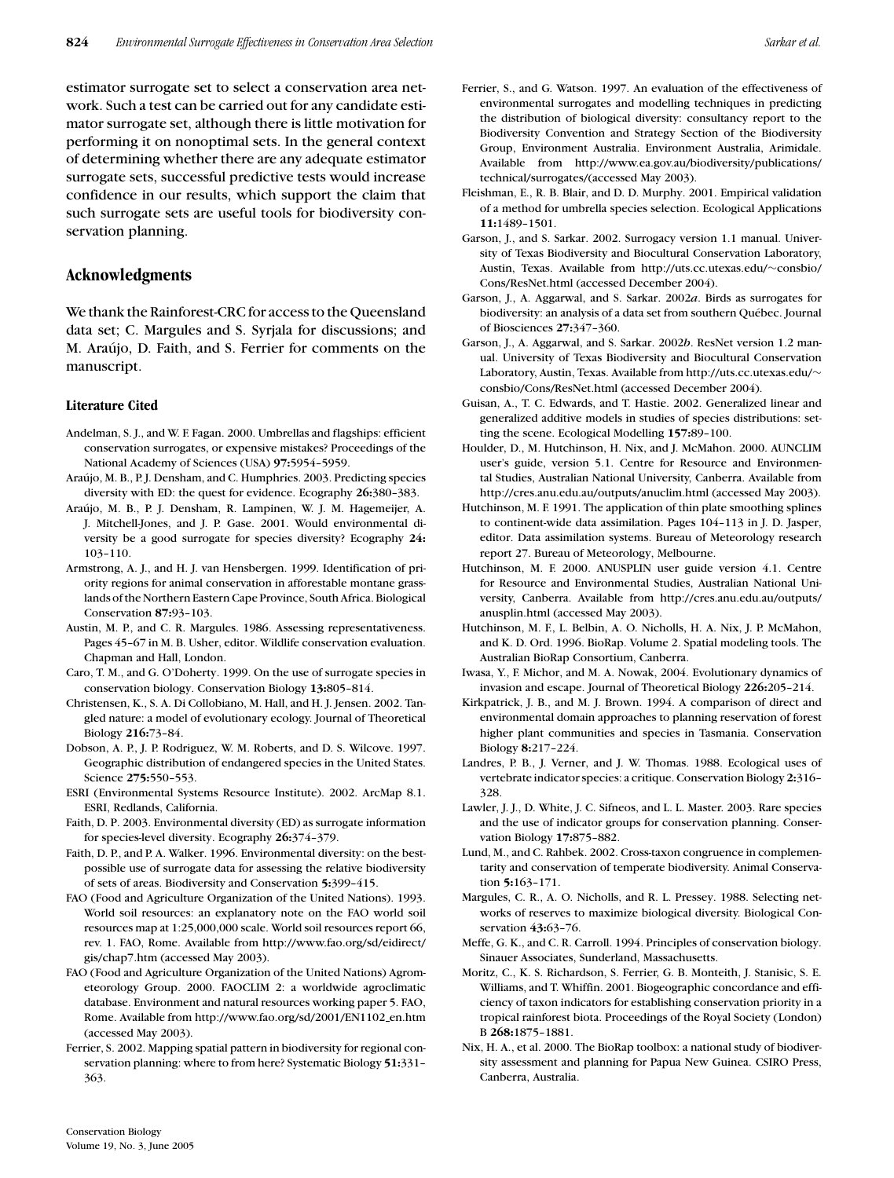estimator surrogate set to select a conservation area network. Such a test can be carried out for any candidate estimator surrogate set, although there is little motivation for performing it on nonoptimal sets. In the general context of determining whether there are any adequate estimator surrogate sets, successful predictive tests would increase confidence in our results, which support the claim that such surrogate sets are useful tools for biodiversity conservation planning.

# **Acknowledgments**

We thank the Rainforest-CRC for access to the Queensland data set; C. Margules and S. Syrjala for discussions; and M. Araújo, D. Faith, and S. Ferrier for comments on the manuscript.

# **Literature Cited**

- Andelman, S. J., and W. F. Fagan. 2000. Umbrellas and flagships: efficient conservation surrogates, or expensive mistakes? Proceedings of the National Academy of Sciences (USA) **97:**5954–5959.
- Araújo, M. B., P. J. Densham, and C. Humphries. 2003. Predicting species diversity with ED: the quest for evidence. Ecography **26:**380–383.
- Araújo, M. B., P. J. Densham, R. Lampinen, W. J. M. Hagemeijer, A. J. Mitchell-Jones, and J. P. Gase. 2001. Would environmental diversity be a good surrogate for species diversity? Ecography **24:** 103–110.
- Armstrong, A. J., and H. J. van Hensbergen. 1999. Identification of priority regions for animal conservation in afforestable montane grasslands of the Northern Eastern Cape Province, South Africa. Biological Conservation **87:**93–103.
- Austin, M. P., and C. R. Margules. 1986. Assessing representativeness. Pages 45–67 in M. B. Usher, editor. Wildlife conservation evaluation. Chapman and Hall, London.
- Caro, T. M., and G. O'Doherty. 1999. On the use of surrogate species in conservation biology. Conservation Biology **13:**805–814.
- Christensen, K., S. A. Di Collobiano, M. Hall, and H. J. Jensen. 2002. Tangled nature: a model of evolutionary ecology. Journal of Theoretical Biology **216:**73–84.
- Dobson, A. P., J. P. Rodriguez, W. M. Roberts, and D. S. Wilcove. 1997. Geographic distribution of endangered species in the United States. Science **275:**550–553.
- ESRI (Environmental Systems Resource Institute). 2002. ArcMap 8.1. ESRI, Redlands, California.
- Faith, D. P. 2003. Environmental diversity (ED) as surrogate information for species-level diversity. Ecography **26:**374–379.
- Faith, D. P., and P. A. Walker. 1996. Environmental diversity: on the bestpossible use of surrogate data for assessing the relative biodiversity of sets of areas. Biodiversity and Conservation **5:**399–415.
- FAO (Food and Agriculture Organization of the United Nations). 1993. World soil resources: an explanatory note on the FAO world soil resources map at 1:25,000,000 scale. World soil resources report 66, rev. 1. FAO, Rome. Available from http://www.fao.org/sd/eidirect/ gis/chap7.htm (accessed May 2003).
- FAO (Food and Agriculture Organization of the United Nations) Agrometeorology Group. 2000. FAOCLIM 2: a worldwide agroclimatic database. Environment and natural resources working paper 5. FAO, Rome. Available from http://www.fao.org/sd/2001/EN1102 en.htm (accessed May 2003).
- Ferrier, S. 2002. Mapping spatial pattern in biodiversity for regional conservation planning: where to from here? Systematic Biology **51:**331– 363.
- Ferrier, S., and G. Watson. 1997. An evaluation of the effectiveness of environmental surrogates and modelling techniques in predicting the distribution of biological diversity: consultancy report to the Biodiversity Convention and Strategy Section of the Biodiversity Group, Environment Australia. Environment Australia, Arimidale. Available from http://www.ea.gov.au/biodiversity/publications/ technical/surrogates/(accessed May 2003).
- Fleishman, E., R. B. Blair, and D. D. Murphy. 2001. Empirical validation of a method for umbrella species selection. Ecological Applications **11:**1489–1501.
- Garson, J., and S. Sarkar. 2002. Surrogacy version 1.1 manual. University of Texas Biodiversity and Biocultural Conservation Laboratory, Austin, Texas. Available from http://uts.cc.utexas.edu/∼consbio/ Cons/ResNet.html (accessed December 2004).
- Garson, J., A. Aggarwal, and S. Sarkar. 2002*a*. Birds as surrogates for biodiversity: an analysis of a data set from southern Québec. Journal of Biosciences **27:**347–360.
- Garson, J., A. Aggarwal, and S. Sarkar. 2002*b*. ResNet version 1.2 manual. University of Texas Biodiversity and Biocultural Conservation Laboratory, Austin, Texas. Available from http://uts.cc.utexas.edu/∼ consbio/Cons/ResNet.html (accessed December 2004).
- Guisan, A., T. C. Edwards, and T. Hastie. 2002. Generalized linear and generalized additive models in studies of species distributions: setting the scene. Ecological Modelling **157:**89–100.
- Houlder, D., M. Hutchinson, H. Nix, and J. McMahon. 2000. AUNCLIM user's guide, version 5.1. Centre for Resource and Environmental Studies, Australian National University, Canberra. Available from http://cres.anu.edu.au/outputs/anuclim.html (accessed May 2003).
- Hutchinson, M. F. 1991. The application of thin plate smoothing splines to continent-wide data assimilation. Pages 104–113 in J. D. Jasper, editor. Data assimilation systems. Bureau of Meteorology research report 27. Bureau of Meteorology, Melbourne.
- Hutchinson, M. F. 2000. ANUSPLIN user guide version 4.1. Centre for Resource and Environmental Studies, Australian National University, Canberra. Available from http://cres.anu.edu.au/outputs/ anusplin.html (accessed May 2003).
- Hutchinson, M. F., L. Belbin, A. O. Nicholls, H. A. Nix, J. P. McMahon, and K. D. Ord. 1996. BioRap. Volume 2. Spatial modeling tools. The Australian BioRap Consortium, Canberra.
- Iwasa, Y., F. Michor, and M. A. Nowak, 2004. Evolutionary dynamics of invasion and escape. Journal of Theoretical Biology **226:**205–214.
- Kirkpatrick, J. B., and M. J. Brown. 1994. A comparison of direct and environmental domain approaches to planning reservation of forest higher plant communities and species in Tasmania. Conservation Biology **8:**217–224.
- Landres, P. B., J. Verner, and J. W. Thomas. 1988. Ecological uses of vertebrate indicator species: a critique. Conservation Biology **2:**316– 328.
- Lawler, J. J., D. White, J. C. Sifneos, and L. L. Master. 2003. Rare species and the use of indicator groups for conservation planning. Conservation Biology **17:**875–882.
- Lund, M., and C. Rahbek. 2002. Cross-taxon congruence in complementarity and conservation of temperate biodiversity. Animal Conservation **5:**163–171.
- Margules, C. R., A. O. Nicholls, and R. L. Pressey. 1988. Selecting networks of reserves to maximize biological diversity. Biological Conservation **43:**63–76.
- Meffe, G. K., and C. R. Carroll. 1994. Principles of conservation biology. Sinauer Associates, Sunderland, Massachusetts.
- Moritz, C., K. S. Richardson, S. Ferrier, G. B. Monteith, J. Stanisic, S. E. Williams, and T. Whiffin. 2001. Biogeographic concordance and efficiency of taxon indicators for establishing conservation priority in a tropical rainforest biota. Proceedings of the Royal Society (London) B **268:**1875–1881.
- Nix, H. A., et al. 2000. The BioRap toolbox: a national study of biodiversity assessment and planning for Papua New Guinea. CSIRO Press, Canberra, Australia.